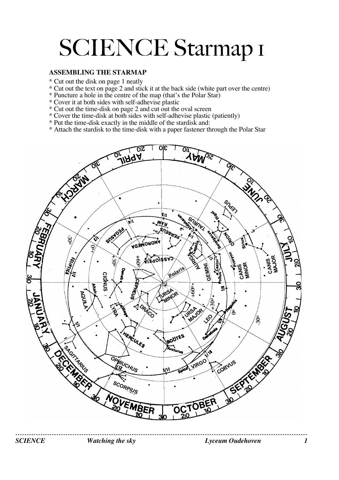# SCIENCE Starmap I

#### **ASSEMBLING THE STARMAP**

- \* Cut out the disk on page 1 neatly
- \* Cut out the text on page 2 and stick it at the back side (white part over the centre)
- \* Puncture a hole in the centre of the map (that's the Polar Star)
- \* Cover it at both sides with self-adhevise plastic
- \* Cut out the time-disk on page 2 and cut out the oval screen
- \* Cover the time-disk at both sides with self-adhevise plastic (patiently)
- \* Put the time-disk exactly in the middle of the stardisk and:
- \* Attach the stardisk to the time-disk with a paper fastener through the Polar Star